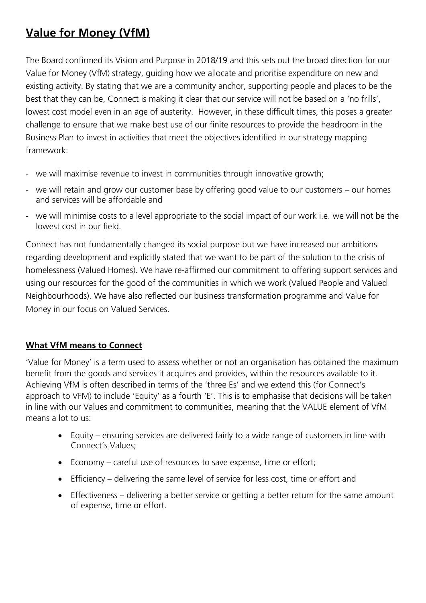# **Value for Money (VfM)**

The Board confirmed its Vision and Purpose in 2018/19 and this sets out the broad direction for our Value for Money (VfM) strategy, guiding how we allocate and prioritise expenditure on new and existing activity. By stating that we are a community anchor, supporting people and places to be the best that they can be, Connect is making it clear that our service will not be based on a 'no frills', lowest cost model even in an age of austerity. However, in these difficult times, this poses a greater challenge to ensure that we make best use of our finite resources to provide the headroom in the Business Plan to invest in activities that meet the objectives identified in our strategy mapping framework:

- we will maximise revenue to invest in communities through innovative growth;
- we will retain and grow our customer base by offering good value to our customers our homes and services will be affordable and
- we will minimise costs to a level appropriate to the social impact of our work i.e. we will not be the lowest cost in our field.

Connect has not fundamentally changed its social purpose but we have increased our ambitions regarding development and explicitly stated that we want to be part of the solution to the crisis of homelessness (Valued Homes). We have re-affirmed our commitment to offering support services and using our resources for the good of the communities in which we work (Valued People and Valued Neighbourhoods). We have also reflected our business transformation programme and Value for Money in our focus on Valued Services.

# **What VfM means to Connect**

'Value for Money' is a term used to assess whether or not an organisation has obtained the maximum benefit from the goods and services it acquires and provides, within the resources available to it. Achieving VfM is often described in terms of the 'three Es' and we extend this (for Connect's approach to VFM) to include 'Equity' as a fourth 'E'. This is to emphasise that decisions will be taken in line with our Values and commitment to communities, meaning that the VALUE element of VfM means a lot to us:

- Equity ensuring services are delivered fairly to a wide range of customers in line with Connect's Values;
- Economy careful use of resources to save expense, time or effort;
- Efficiency delivering the same level of service for less cost, time or effort and
- Effectiveness delivering a better service or getting a better return for the same amount of expense, time or effort.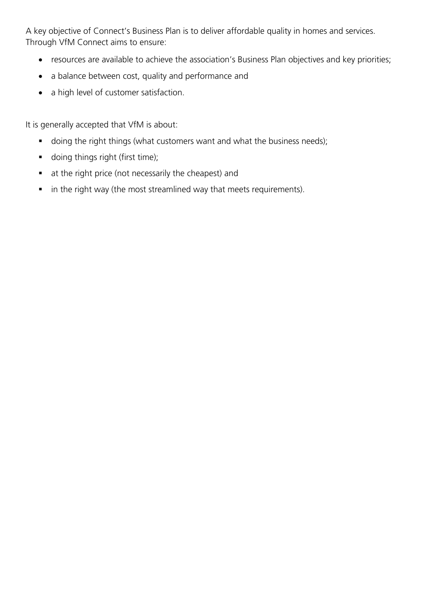A key objective of Connect's Business Plan is to deliver affordable quality in homes and services. Through VfM Connect aims to ensure:

- resources are available to achieve the association's Business Plan objectives and key priorities;
- a balance between cost, quality and performance and
- a high level of customer satisfaction.

It is generally accepted that VfM is about:

- **doing the right things (what customers want and what the business needs);**
- **doing things right (first time);**
- at the right price (not necessarily the cheapest) and
- in the right way (the most streamlined way that meets requirements).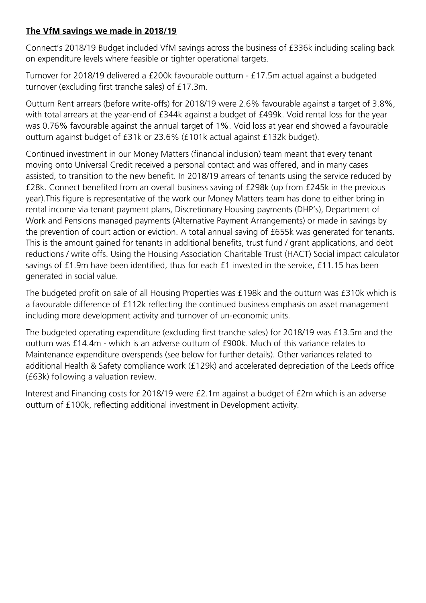# **The VfM savings we made in 2018/19**

Connect's 2018/19 Budget included VfM savings across the business of £336k including scaling back on expenditure levels where feasible or tighter operational targets.

Turnover for 2018/19 delivered a £200k favourable outturn - £17.5m actual against a budgeted turnover (excluding first tranche sales) of £17.3m.

Outturn Rent arrears (before write-offs) for 2018/19 were 2.6% favourable against a target of 3.8%, with total arrears at the year-end of £344k against a budget of £499k. Void rental loss for the year was 0.76% favourable against the annual target of 1%. Void loss at year end showed a favourable outturn against budget of £31k or 23.6% (£101k actual against £132k budget).

Continued investment in our Money Matters (financial inclusion) team meant that every tenant moving onto Universal Credit received a personal contact and was offered, and in many cases assisted, to transition to the new benefit. In 2018/19 arrears of tenants using the service reduced by £28k. Connect benefited from an overall business saving of £298k (up from £245k in the previous year).This figure is representative of the work our Money Matters team has done to either bring in rental income via tenant payment plans, Discretionary Housing payments (DHP's), Department of Work and Pensions managed payments (Alternative Payment Arrangements) or made in savings by the prevention of court action or eviction. A total annual saving of £655k was generated for tenants. This is the amount gained for tenants in additional benefits, trust fund / grant applications, and debt reductions / write offs. Using the Housing Association Charitable Trust (HACT) Social impact calculator savings of £1.9m have been identified, thus for each £1 invested in the service, £11.15 has been generated in social value.

The budgeted profit on sale of all Housing Properties was £198k and the outturn was £310k which is a favourable difference of £112k reflecting the continued business emphasis on asset management including more development activity and turnover of un-economic units.

The budgeted operating expenditure (excluding first tranche sales) for 2018/19 was £13.5m and the outturn was £14.4m - which is an adverse outturn of £900k. Much of this variance relates to Maintenance expenditure overspends (see below for further details). Other variances related to additional Health & Safety compliance work (£129k) and accelerated depreciation of the Leeds office (£63k) following a valuation review.

Interest and Financing costs for 2018/19 were £2.1m against a budget of £2m which is an adverse outturn of £100k, reflecting additional investment in Development activity.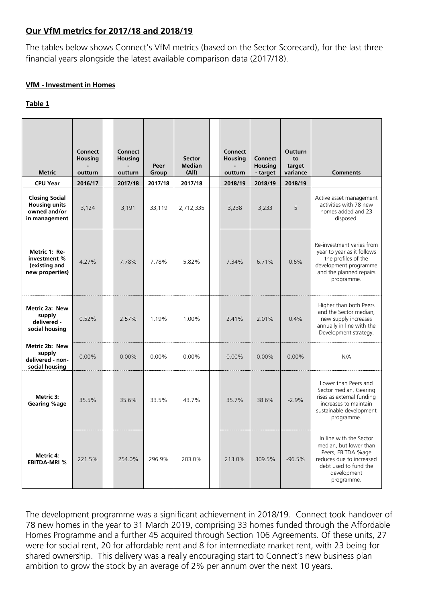### **Our VfM metrics for 2017/18 and 2018/19**

The tables below shows Connect's VfM metrics (based on the Sector Scorecard), for the last three financial years alongside the latest available comparison data (2017/18).

### **VfM - Investment in Homes**

### **Table 1**

| <b>Metric</b>                                                                  | <b>Connect</b><br><b>Housing</b><br>outturn | <b>Connect</b><br><b>Housing</b><br>outturn | Peer<br>Group | <b>Sector</b><br><b>Median</b><br>(A  ) | <b>Connect</b><br><b>Housing</b><br>outturn | <b>Connect</b><br><b>Housing</b><br>- target | <b>Outturn</b><br>to<br>target<br>variance | <b>Comments</b>                                                                                                                                           |
|--------------------------------------------------------------------------------|---------------------------------------------|---------------------------------------------|---------------|-----------------------------------------|---------------------------------------------|----------------------------------------------|--------------------------------------------|-----------------------------------------------------------------------------------------------------------------------------------------------------------|
| <b>CPU Year</b>                                                                | 2016/17                                     | 2017/18                                     | 2017/18       | 2017/18                                 | 2018/19                                     | 2018/19                                      | 2018/19                                    |                                                                                                                                                           |
| <b>Closing Social</b><br><b>Housing units</b><br>owned and/or<br>in management | 3,124                                       | 3,191                                       | 33,119        | 2,712,335                               | 3,238                                       | 3,233                                        | 5                                          | Active asset management<br>activities with 78 new<br>homes added and 23<br>disposed.                                                                      |
| Metric 1: Re-<br>investment %<br>(existing and<br>new properties)              | 4.27%                                       | 7.78%                                       | 7.78%         | 5.82%                                   | 7.34%                                       | 6.71%                                        | 0.6%                                       | Re-investment varies from<br>year to year as it follows<br>the profiles of the<br>development programme<br>and the planned repairs<br>programme.          |
| <b>Metric 2a: New</b><br>supply<br>delivered -<br>social housing               | 0.52%                                       | 2.57%                                       | 1.19%         | 1.00%                                   | 2.41%                                       | 2.01%                                        | 0.4%                                       | Higher than both Peers<br>and the Sector median,<br>new supply increases<br>annually in line with the<br>Development strategy.                            |
| Metric 2b: New<br>supply<br>delivered - non-<br>social housing                 | $0.00\%$                                    | $0.00\%$                                    | $0.00\%$      | $0.00\%$                                | $0.00\%$                                    | $0.00\%$                                     | $0.00\%$                                   | N/A                                                                                                                                                       |
| Metric 3:<br>Gearing %age                                                      | 35.5%                                       | 35.6%                                       | 33.5%         | 43.7%                                   | 35.7%                                       | 38.6%                                        | $-2.9%$                                    | Lower than Peers and<br>Sector median, Gearing<br>rises as external funding<br>increases to maintain<br>sustainable development<br>programme.             |
| Metric 4:<br><b>EBITDA-MRI %</b>                                               | 221.5%                                      | 254.0%                                      | 296.9%        | 203.0%                                  | 213.0%                                      | 309.5%                                       | $-96.5%$                                   | In line with the Sector<br>median, but lower than<br>Peers, EBITDA %age<br>reduces due to increased<br>debt used to fund the<br>development<br>programme. |

The development programme was a significant achievement in 2018/19. Connect took handover of 78 new homes in the year to 31 March 2019, comprising 33 homes funded through the Affordable Homes Programme and a further 45 acquired through Section 106 Agreements. Of these units, 27 were for social rent, 20 for affordable rent and 8 for intermediate market rent, with 23 being for shared ownership. This delivery was a really encouraging start to Connect's new business plan ambition to grow the stock by an average of 2% per annum over the next 10 years.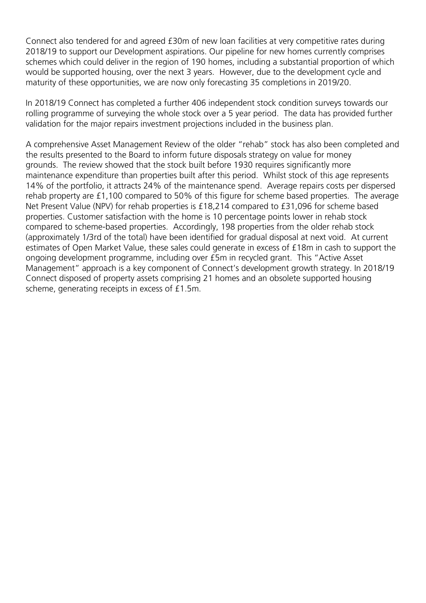Connect also tendered for and agreed £30m of new loan facilities at very competitive rates during 2018/19 to support our Development aspirations. Our pipeline for new homes currently comprises schemes which could deliver in the region of 190 homes, including a substantial proportion of which would be supported housing, over the next 3 years. However, due to the development cycle and maturity of these opportunities, we are now only forecasting 35 completions in 2019/20.

In 2018/19 Connect has completed a further 406 independent stock condition surveys towards our rolling programme of surveying the whole stock over a 5 year period. The data has provided further validation for the major repairs investment projections included in the business plan.

A comprehensive Asset Management Review of the older "rehab" stock has also been completed and the results presented to the Board to inform future disposals strategy on value for money grounds. The review showed that the stock built before 1930 requires significantly more maintenance expenditure than properties built after this period. Whilst stock of this age represents 14% of the portfolio, it attracts 24% of the maintenance spend. Average repairs costs per dispersed rehab property are £1,100 compared to 50% of this figure for scheme based properties. The average Net Present Value (NPV) for rehab properties is £18,214 compared to £31,096 for scheme based properties. Customer satisfaction with the home is 10 percentage points lower in rehab stock compared to scheme-based properties. Accordingly, 198 properties from the older rehab stock (approximately 1/3rd of the total) have been identified for gradual disposal at next void. At current estimates of Open Market Value, these sales could generate in excess of £18m in cash to support the ongoing development programme, including over £5m in recycled grant. This "Active Asset Management" approach is a key component of Connect's development growth strategy. In 2018/19 Connect disposed of property assets comprising 21 homes and an obsolete supported housing scheme, generating receipts in excess of £1.5m.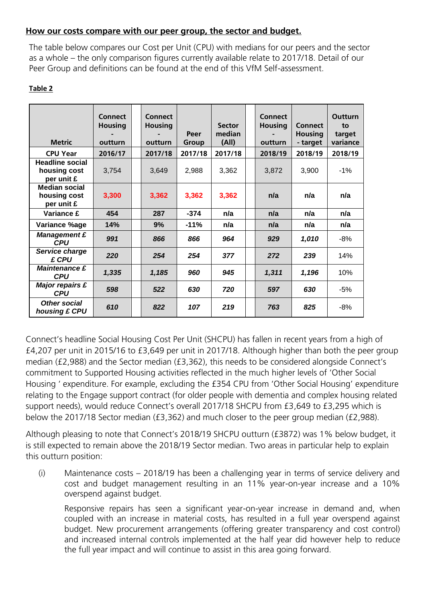## **How our costs compare with our peer group, the sector and budget.**

The table below compares our Cost per Unit (CPU) with medians for our peers and the sector as a whole – the only comparison figures currently available relate to 2017/18. Detail of our Peer Group and definitions can be found at the end of this VfM Self-assessment.

|--|

| <b>Metric</b>                                        | <b>Connect</b><br><b>Housing</b><br>outturn | <b>Connect</b><br><b>Housing</b><br>outturn | Peer<br>Group | <b>Sector</b><br>median<br>(A  ) | <b>Connect</b><br><b>Housing</b><br>outturn | <b>Connect</b><br><b>Housing</b><br>- target | Outturn<br>to<br>target<br>variance |
|------------------------------------------------------|---------------------------------------------|---------------------------------------------|---------------|----------------------------------|---------------------------------------------|----------------------------------------------|-------------------------------------|
| <b>CPU Year</b>                                      | 2016/17                                     | 2017/18                                     | 2017/18       | 2017/18                          | 2018/19                                     | 2018/19                                      | 2018/19                             |
| <b>Headline social</b><br>housing cost<br>per unit £ | 3,754                                       | 3,649                                       | 2,988         | 3,362                            | 3,872                                       | 3,900                                        | $-1%$                               |
| <b>Median social</b><br>housing cost<br>per unit £   | 3,300                                       | 3,362                                       | 3,362         | 3,362                            | n/a                                         | n/a                                          | n/a                                 |
| <b>Variance £</b>                                    | 454                                         | 287                                         | $-374$        | n/a                              | n/a                                         | n/a                                          | n/a                                 |
| Variance %age                                        | 14%                                         | 9%                                          | $-11%$        | n/a                              | n/a                                         | n/a                                          | n/a                                 |
| <b>Management £</b><br><b>CPU</b>                    | 991                                         | 866                                         | 866           | 964                              | 929                                         | 1,010                                        | -8%                                 |
| Service charge<br>£ CPU                              | 220                                         | 254                                         | 254           | 377                              | 272                                         | 239                                          | 14%                                 |
| <b>Maintenance £</b><br><b>CPU</b>                   | 1,335                                       | 1,185                                       | 960           | 945                              | 1,311                                       | 1,196                                        | 10%                                 |
| <b>Major repairs £</b><br><b>CPU</b>                 | 598                                         | 522                                         | 630           | 720                              | 597                                         | 630                                          | -5%                                 |
| <b>Other social</b><br>housing £ CPU                 | 610                                         | 822                                         | 107           | 219                              | 763                                         | 825                                          | $-8%$                               |

Connect's headline Social Housing Cost Per Unit (SHCPU) has fallen in recent years from a high of £4,207 per unit in 2015/16 to £3,649 per unit in 2017/18. Although higher than both the peer group median (£2,988) and the Sector median (£3,362), this needs to be considered alongside Connect's commitment to Supported Housing activities reflected in the much higher levels of 'Other Social Housing ' expenditure. For example, excluding the £354 CPU from 'Other Social Housing' expenditure relating to the Engage support contract (for older people with dementia and complex housing related support needs), would reduce Connect's overall 2017/18 SHCPU from £3,649 to £3,295 which is below the 2017/18 Sector median (£3,362) and much closer to the peer group median (£2,988).

Although pleasing to note that Connect's 2018/19 SHCPU outturn (£3872) was 1% below budget, it is still expected to remain above the 2018/19 Sector median. Two areas in particular help to explain this outturn position:

(i) Maintenance costs – 2018/19 has been a challenging year in terms of service delivery and cost and budget management resulting in an 11% year-on-year increase and a 10% overspend against budget.

Responsive repairs has seen a significant year-on-year increase in demand and, when coupled with an increase in material costs, has resulted in a full year overspend against budget. New procurement arrangements (offering greater transparency and cost control) and increased internal controls implemented at the half year did however help to reduce the full year impact and will continue to assist in this area going forward.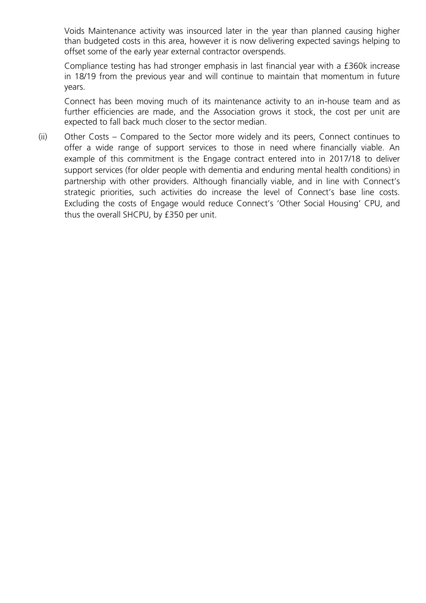Voids Maintenance activity was insourced later in the year than planned causing higher than budgeted costs in this area, however it is now delivering expected savings helping to offset some of the early year external contractor overspends.

Compliance testing has had stronger emphasis in last financial year with a £360k increase in 18/19 from the previous year and will continue to maintain that momentum in future years.

Connect has been moving much of its maintenance activity to an in-house team and as further efficiencies are made, and the Association grows it stock, the cost per unit are expected to fall back much closer to the sector median.

(ii) Other Costs – Compared to the Sector more widely and its peers, Connect continues to offer a wide range of support services to those in need where financially viable. An example of this commitment is the Engage contract entered into in 2017/18 to deliver support services (for older people with dementia and enduring mental health conditions) in partnership with other providers. Although financially viable, and in line with Connect's strategic priorities, such activities do increase the level of Connect's base line costs. Excluding the costs of Engage would reduce Connect's 'Other Social Housing' CPU, and thus the overall SHCPU, by £350 per unit.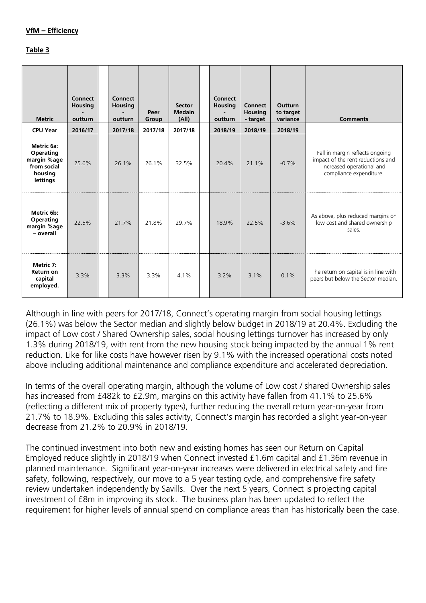#### **VfM – Efficiency**

#### **Table 3**

| <b>Metric</b>                                                                | <b>Connect</b><br><b>Housing</b><br>outturn | <b>Connect</b><br><b>Housing</b><br>outturn | Peer<br>Group | <b>Sector</b><br><b>Medain</b><br>(A  ) | <b>Connect</b><br><b>Housing</b><br>outturn | <b>Connect</b><br><b>Housing</b><br>- target | <b>Outturn</b><br>to target<br>variance | <b>Comments</b>                                                                                                              |
|------------------------------------------------------------------------------|---------------------------------------------|---------------------------------------------|---------------|-----------------------------------------|---------------------------------------------|----------------------------------------------|-----------------------------------------|------------------------------------------------------------------------------------------------------------------------------|
| <b>CPU Year</b>                                                              | 2016/17                                     | 2017/18                                     | 2017/18       | 2017/18                                 | 2018/19                                     | 2018/19                                      | 2018/19                                 |                                                                                                                              |
| Metric 6a:<br>Operating<br>margin %age<br>from social<br>housing<br>lettings | 25.6%                                       | 26.1%                                       | 26.1%         | 32.5%                                   | 20.4%                                       | 21.1%                                        | $-0.7%$                                 | Fall in margin reflects ongoing<br>impact of the rent reductions and<br>increased operational and<br>compliance expenditure. |
| Metric 6b:<br>Operating<br>margin %age<br>- overall                          | 22.5%                                       | 21.7%                                       | 21.8%         | 29.7%                                   | 18.9%                                       | 22.5%                                        | $-3.6%$                                 | As above, plus reduced margins on<br>low cost and shared ownership<br>sales.                                                 |
| Metric 7:<br>Return on<br>capital<br>employed.                               | 3.3%                                        | 3.3%                                        | 3.3%          | 4.1%                                    | 3.2%                                        | 3.1%                                         | 0.1%                                    | The return on capital is in line with<br>peers but below the Sector median.                                                  |

Although in line with peers for 2017/18, Connect's operating margin from social housing lettings (26.1%) was below the Sector median and slightly below budget in 2018/19 at 20.4%. Excluding the impact of Low cost / Shared Ownership sales, social housing lettings turnover has increased by only 1.3% during 2018/19, with rent from the new housing stock being impacted by the annual 1% rent reduction. Like for like costs have however risen by 9.1% with the increased operational costs noted above including additional maintenance and compliance expenditure and accelerated depreciation.

In terms of the overall operating margin, although the volume of Low cost / shared Ownership sales has increased from £482k to £2.9m, margins on this activity have fallen from 41.1% to 25.6% (reflecting a different mix of property types), further reducing the overall return year-on-year from 21.7% to 18.9%. Excluding this sales activity, Connect's margin has recorded a slight year-on-year decrease from 21.2% to 20.9% in 2018/19.

The continued investment into both new and existing homes has seen our Return on Capital Employed reduce slightly in 2018/19 when Connect invested £1.6m capital and £1.36m revenue in planned maintenance. Significant year-on-year increases were delivered in electrical safety and fire safety, following, respectively, our move to a 5 year testing cycle, and comprehensive fire safety review undertaken independently by Savills. Over the next 5 years, Connect is projecting capital investment of £8m in improving its stock. The business plan has been updated to reflect the requirement for higher levels of annual spend on compliance areas than has historically been the case.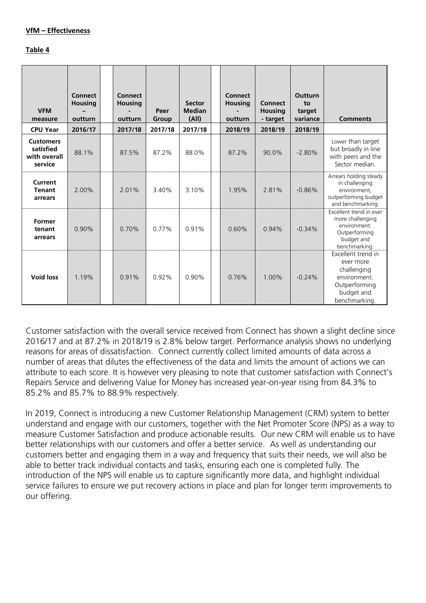#### **Table 4**

| <b>VFM</b><br>measure                                    | <b>Connect</b><br><b>Housing</b><br>outturn | <b>Connect</b><br><b>Housing</b><br>outturn | Peer<br>Group | <b>Sector</b><br><b>Median</b><br>(A  ) | <b>Connect</b><br><b>Housing</b><br>outturn | <b>Connect</b><br><b>Housing</b><br>- target | Outturn<br>to<br>target<br>variance | <b>Comments</b>                                                                                                |
|----------------------------------------------------------|---------------------------------------------|---------------------------------------------|---------------|-----------------------------------------|---------------------------------------------|----------------------------------------------|-------------------------------------|----------------------------------------------------------------------------------------------------------------|
| <b>CPU Year</b>                                          | 2016/17                                     | 2017/18                                     | 2017/18       | 2017/18                                 | 2018/19                                     | 2018/19                                      | 2018/19                             |                                                                                                                |
| <b>Customers</b><br>satisfied<br>with overall<br>service | 88.1%                                       | 87.5%                                       | 87.2%         | 88.0%                                   | 87.2%                                       | 90.0%                                        | $-2.80%$                            | Lower than target<br>but broadly in line<br>with peers and the<br>Sector median.                               |
| Current<br><b>Tenant</b><br>arrears                      | 2.00%                                       | 2.01%                                       | 3.40%         | 3.10%                                   | 1.95%                                       | 2.81%                                        | $-0.86%$                            | Arrears holding steady<br>in challenging<br>environment,<br>outperforming budget<br>and benchmarking.          |
| <b>Former</b><br>tenant<br>arrears                       | $0.90\%$                                    | 0.70%                                       | 0.77%         | 0.91%                                   | 0.60%                                       | 0.94%                                        | $-0.34%$                            | Excellent trend in ever<br>more challenging<br>environment.<br>Outperforming<br>budget and<br>benchmarking.    |
| <b>Void loss</b>                                         | 1.19%                                       | 0.91%                                       | 0.92%         | 0.90%                                   | 0.76%                                       | 1.00%                                        | $-0.24%$                            | Excellent trend in<br>ever more<br>challenging<br>environment.<br>Outperforming<br>budget and<br>benchmarking. |

Customer satisfaction with the overall service received from Connect has shown a slight decline since 2016/17 and at 87.2% in 2018/19 is 2.8% below target. Performance analysis shows no underlying reasons for areas of dissatisfaction. Connect currently collect limited amounts of data across a number of areas that dilutes the effectiveness of the data and limits the amount of actions we can attribute to each score. It is however very pleasing to note that customer satisfaction with Connect's Repairs Service and delivering Value for Money has increased year-on-year rising from 84.3% to 85.2% and 85.7% to 88.9% respectively.

In 2019, Connect is introducing a new Customer Relationship Management (CRM) system to better understand and engage with our customers, together with the Net Promoter Score (NPS) as a way to measure Customer Satisfaction and produce actionable results. Our new CRM will enable us to have better relationships with our customers and offer a better service. As well as understanding our customers better and engaging them in a way and frequency that suits their needs, we will also be able to better track individual contacts and tasks, ensuring each one is completed fully. The introduction of the NPS will enable us to capture significantly more data, and highlight individual service failures to ensure we put recovery actions in place and plan for longer term improvements to our offering.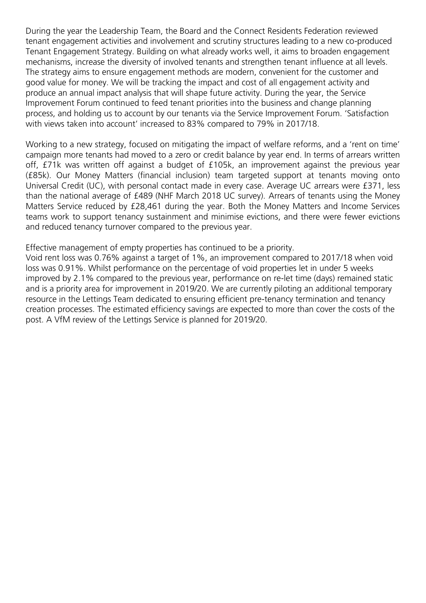During the year the Leadership Team, the Board and the Connect Residents Federation reviewed tenant engagement activities and involvement and scrutiny structures leading to a new co-produced Tenant Engagement Strategy. Building on what already works well, it aims to broaden engagement mechanisms, increase the diversity of involved tenants and strengthen tenant influence at all levels. The strategy aims to ensure engagement methods are modern, convenient for the customer and good value for money. We will be tracking the impact and cost of all engagement activity and produce an annual impact analysis that will shape future activity. During the year, the Service Improvement Forum continued to feed tenant priorities into the business and change planning process, and holding us to account by our tenants via the Service Improvement Forum. 'Satisfaction with views taken into account' increased to 83% compared to 79% in 2017/18.

Working to a new strategy, focused on mitigating the impact of welfare reforms, and a 'rent on time' campaign more tenants had moved to a zero or credit balance by year end. In terms of arrears written off, £71k was written off against a budget of £105k, an improvement against the previous year (£85k). Our Money Matters (financial inclusion) team targeted support at tenants moving onto Universal Credit (UC), with personal contact made in every case. Average UC arrears were £371, less than the national average of £489 (NHF March 2018 UC survey). Arrears of tenants using the Money Matters Service reduced by £28,461 during the year. Both the Money Matters and Income Services teams work to support tenancy sustainment and minimise evictions, and there were fewer evictions and reduced tenancy turnover compared to the previous year.

Effective management of empty properties has continued to be a priority.

Void rent loss was 0.76% against a target of 1%, an improvement compared to 2017/18 when void loss was 0.91%. Whilst performance on the percentage of void properties let in under 5 weeks improved by 2.1% compared to the previous year, performance on re-let time (days) remained static and is a priority area for improvement in 2019/20. We are currently piloting an additional temporary resource in the Lettings Team dedicated to ensuring efficient pre-tenancy termination and tenancy creation processes. The estimated efficiency savings are expected to more than cover the costs of the post. A VfM review of the Lettings Service is planned for 2019/20.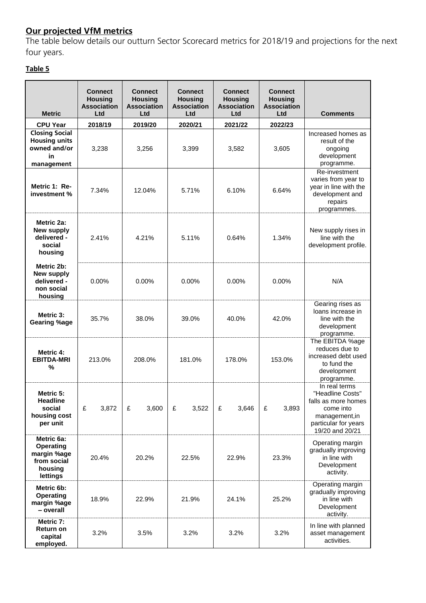# **Our projected VfM metrics**

The table below details our outturn Sector Scorecard metrics for 2018/19 and projections for the next four years.

# **Table 5**

| <b>Metric</b>                                                                       | <b>Connect</b><br><b>Housing</b><br><b>Association</b><br>Ltd | <b>Connect</b><br><b>Housing</b><br><b>Association</b><br>Ltd | <b>Connect</b><br><b>Housing</b><br><b>Association</b><br>Ltd | <b>Connect</b><br><b>Housing</b><br><b>Association</b><br>Ltd | <b>Connect</b><br><b>Housing</b><br><b>Association</b><br>Ltd | <b>Comments</b>                                                                                                                    |
|-------------------------------------------------------------------------------------|---------------------------------------------------------------|---------------------------------------------------------------|---------------------------------------------------------------|---------------------------------------------------------------|---------------------------------------------------------------|------------------------------------------------------------------------------------------------------------------------------------|
| <b>CPU Year</b>                                                                     | 2018/19                                                       | 2019/20                                                       | 2020/21                                                       | 2021/22                                                       | 2022/23                                                       |                                                                                                                                    |
| <b>Closing Social</b><br><b>Housing units</b><br>owned and/or<br>in<br>management   | 3,238                                                         | 3,256                                                         | 3,399                                                         | 3,582                                                         | 3,605                                                         | Increased homes as<br>result of the<br>ongoing<br>development<br>programme.                                                        |
| Metric 1: Re-<br>investment %                                                       | 7.34%                                                         | 12.04%                                                        | 5.71%                                                         | 6.10%                                                         | 6.64%                                                         | Re-investment<br>varies from year to<br>year in line with the<br>development and<br>repairs<br>programmes.                         |
| Metric 2a:<br>New supply<br>delivered -<br>social<br>housing                        | 2.41%                                                         | 4.21%                                                         | 5.11%                                                         | 0.64%                                                         | 1.34%                                                         | New supply rises in<br>line with the<br>development profile.                                                                       |
| Metric 2b:<br>New supply<br>delivered -<br>non social<br>housing                    | 0.00%                                                         | 0.00%                                                         |                                                               | 0.00%                                                         | 0.00%                                                         | N/A                                                                                                                                |
| Metric 3:<br><b>Gearing %age</b>                                                    | 35.7%                                                         | 38.0%                                                         | 39.0%                                                         | 40.0%                                                         | 42.0%                                                         | Gearing rises as<br>loans increase in<br>line with the<br>development<br>programme.                                                |
| Metric 4:<br><b>EBITDA-MRI</b><br>%                                                 | 213.0%                                                        | 208.0%                                                        |                                                               | 178.0%                                                        | 153.0%                                                        | The EBITDA %age<br>reduces due to<br>increased debt used<br>to fund the<br>development<br>programme.                               |
| Metric 5:<br><b>Headline</b><br>social<br>housing cost<br>per unit                  | £<br>3,872                                                    | £<br>3,600                                                    | £<br>3,522                                                    | £<br>3,646                                                    | £<br>3,893                                                    | In real terms<br>"Headline Costs"<br>falls as more homes<br>come into<br>management, in<br>particular for years<br>19/20 and 20/21 |
| Metric 6a:<br><b>Operating</b><br>margin %age<br>from social<br>housing<br>lettings | 20.4%                                                         | 20.2%                                                         | 22.5%                                                         | 22.9%                                                         | 23.3%                                                         | Operating margin<br>gradually improving<br>in line with<br>Development<br>activity.                                                |
| Metric 6b:<br><b>Operating</b><br>margin %age<br>- overall                          | 18.9%                                                         | 22.9%                                                         |                                                               | 24.1%                                                         | 25.2%                                                         | Operating margin<br>gradually improving<br>in line with<br>Development<br>activity.                                                |
| Metric 7:<br>Return on<br>capital<br>employed.                                      | 3.2%                                                          | 3.5%                                                          | 3.2%                                                          | 3.2%                                                          | 3.2%                                                          | In line with planned<br>asset management<br>activities.                                                                            |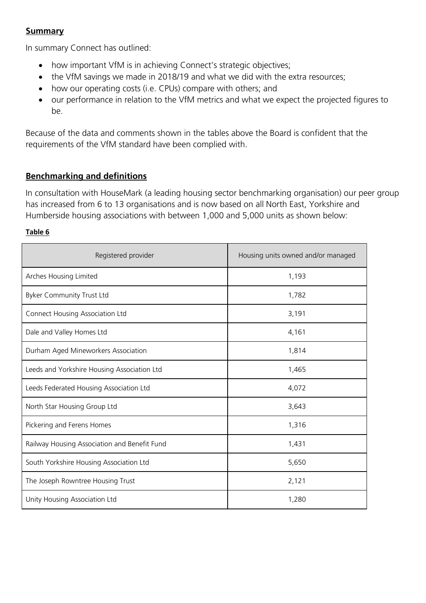## **Summary**

In summary Connect has outlined:

- how important VfM is in achieving Connect's strategic objectives;
- the VfM savings we made in 2018/19 and what we did with the extra resources;
- how our operating costs (i.e. CPUs) compare with others; and
- our performance in relation to the VfM metrics and what we expect the projected figures to be.

Because of the data and comments shown in the tables above the Board is confident that the requirements of the VfM standard have been complied with.

# **Benchmarking and definitions**

In consultation with HouseMark (a leading housing sector benchmarking organisation) our peer group has increased from 6 to 13 organisations and is now based on all North East, Yorkshire and Humberside housing associations with between 1,000 and 5,000 units as shown below:

### **Table 6**

| Registered provider                          | Housing units owned and/or managed |  |  |  |
|----------------------------------------------|------------------------------------|--|--|--|
| Arches Housing Limited                       | 1,193                              |  |  |  |
| Byker Community Trust Ltd                    | 1,782                              |  |  |  |
| Connect Housing Association Ltd              | 3,191                              |  |  |  |
| Dale and Valley Homes Ltd                    | 4,161                              |  |  |  |
| Durham Aged Mineworkers Association          | 1,814                              |  |  |  |
| Leeds and Yorkshire Housing Association Ltd  | 1,465                              |  |  |  |
| Leeds Federated Housing Association Ltd      | 4,072                              |  |  |  |
| North Star Housing Group Ltd                 | 3,643                              |  |  |  |
| Pickering and Ferens Homes                   | 1,316                              |  |  |  |
| Railway Housing Association and Benefit Fund | 1,431                              |  |  |  |
| South Yorkshire Housing Association Ltd      | 5,650                              |  |  |  |
| The Joseph Rowntree Housing Trust            | 2,121                              |  |  |  |
| Unity Housing Association Ltd                | 1,280                              |  |  |  |